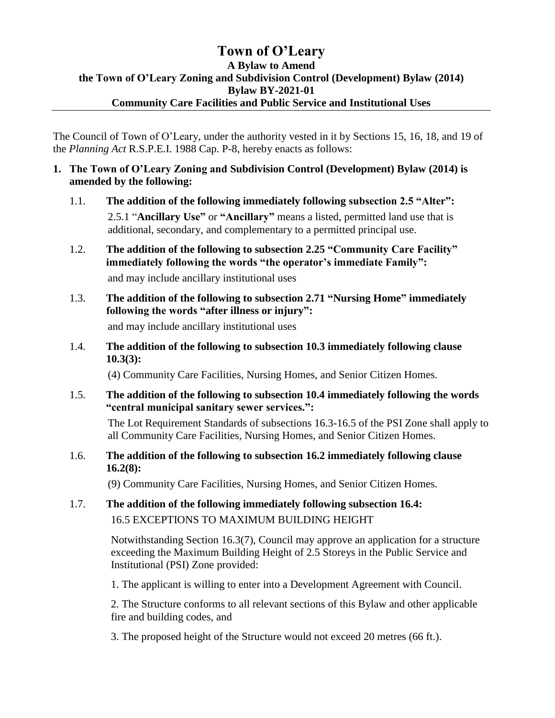# **Town of O'Leary A Bylaw to Amend the Town of O'Leary Zoning and Subdivision Control (Development) Bylaw (2014) Bylaw BY-2021-01 Community Care Facilities and Public Service and Institutional Uses**

The Council of Town of O'Leary, under the authority vested in it by Sections 15, 16, 18, and 19 of the *Planning Act* R.S.P.E.I. 1988 Cap. P-8, hereby enacts as follows:

- **1. The Town of O'Leary Zoning and Subdivision Control (Development) Bylaw (2014) is amended by the following:**
	- 1.1. **The addition of the following immediately following subsection 2.5 "Alter":** 2.5.1 "**Ancillary Use"** or **"Ancillary"** means a listed, permitted land use that is additional, secondary, and complementary to a permitted principal use.
	- 1.2. **The addition of the following to subsection 2.25 "Community Care Facility" immediately following the words "the operator's immediate Family":** and may include ancillary institutional uses
	- 1.3. **The addition of the following to subsection 2.71 "Nursing Home" immediately following the words "after illness or injury":** and may include ancillary institutional uses
	- 1.4. **The addition of the following to subsection 10.3 immediately following clause 10.3(3):**

(4) Community Care Facilities, Nursing Homes, and Senior Citizen Homes.

1.5. **The addition of the following to subsection 10.4 immediately following the words "central municipal sanitary sewer services.":**

The Lot Requirement Standards of subsections 16.3-16.5 of the PSI Zone shall apply to all Community Care Facilities, Nursing Homes, and Senior Citizen Homes.

1.6. **The addition of the following to subsection 16.2 immediately following clause 16.2(8):**

(9) Community Care Facilities, Nursing Homes, and Senior Citizen Homes.

1.7. **The addition of the following immediately following subsection 16.4:** 16.5 EXCEPTIONS TO MAXIMUM BUILDING HEIGHT

> Notwithstanding Section 16.3(7), Council may approve an application for a structure exceeding the Maximum Building Height of 2.5 Storeys in the Public Service and Institutional (PSI) Zone provided:

1. The applicant is willing to enter into a Development Agreement with Council.

2. The Structure conforms to all relevant sections of this Bylaw and other applicable fire and building codes, and

3. The proposed height of the Structure would not exceed 20 metres (66 ft.).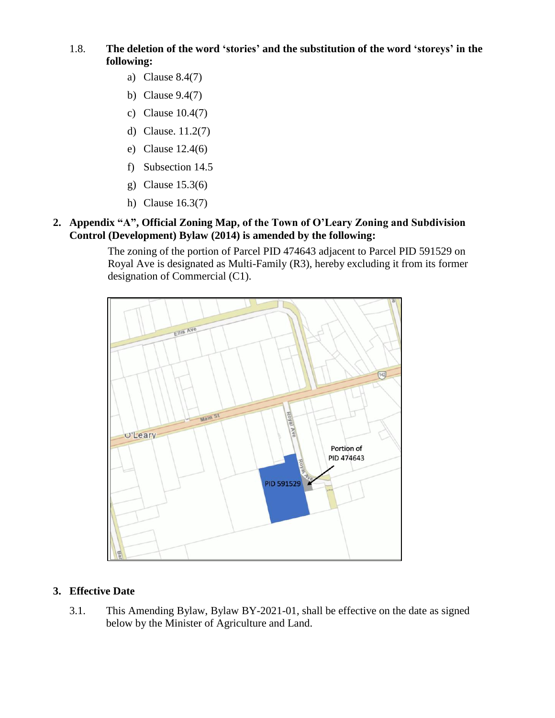## 1.8. **The deletion of the word 'stories' and the substitution of the word 'storeys' in the following:**

- a) Clause 8.4(7)
- b) Clause 9.4(7)
- c) Clause 10.4(7)
- d) Clause. 11.2(7)
- e) Clause 12.4(6)
- f) Subsection 14.5
- g) Clause 15.3(6)
- h) Clause 16.3(7)

### **2. Appendix "A", Official Zoning Map, of the Town of O'Leary Zoning and Subdivision Control (Development) Bylaw (2014) is amended by the following:**

The zoning of the portion of Parcel PID 474643 adjacent to Parcel PID 591529 on Royal Ave is designated as Multi-Family (R3), hereby excluding it from its former designation of Commercial (C1).



## **3. Effective Date**

3.1. This Amending Bylaw, Bylaw BY-2021-01, shall be effective on the date as signed below by the Minister of Agriculture and Land.